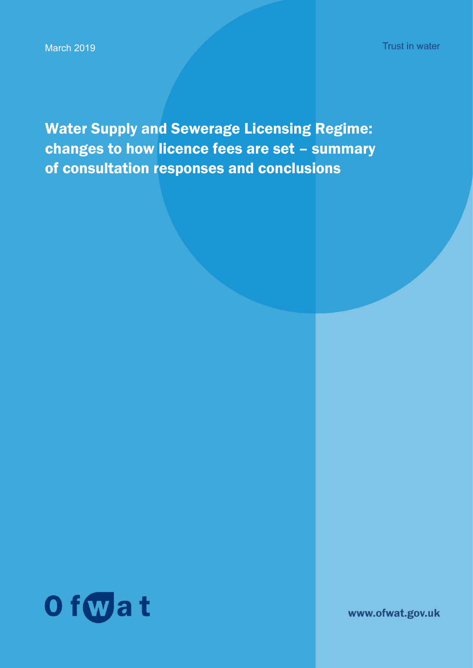**Trust in water** 

Water Supply and Sewerage Licensing Regime: changes to how licence fees are set – summary of consultation responses and conclusions



www.ofwat.gov.uk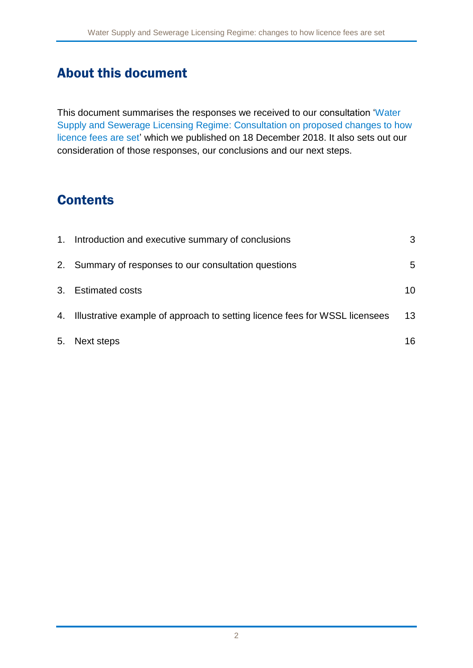## About this document

This document summarises the responses we received to our consultation ['Water](https://www.ofwat.gov.uk/wp-content/uploads/2018/12/Water-Supply-and-Sewerage-Licensing-Regime-Consultation.pdf)  [Supply and Sewerage Licensing Regime: Consultation on proposed changes to how](https://www.ofwat.gov.uk/wp-content/uploads/2018/12/Water-Supply-and-Sewerage-Licensing-Regime-Consultation.pdf)  [licence fees are set'](https://www.ofwat.gov.uk/wp-content/uploads/2018/12/Water-Supply-and-Sewerage-Licensing-Regime-Consultation.pdf) which we published on 18 December 2018. It also sets out our consideration of those responses, our conclusions and our next steps.

# **Contents**

|    | 1. Introduction and executive summary of conclusions                           | 3  |
|----|--------------------------------------------------------------------------------|----|
|    | 2. Summary of responses to our consultation questions                          | 5  |
|    | 3. Estimated costs                                                             | 10 |
|    | 4. Illustrative example of approach to setting licence fees for WSSL licensees | 13 |
| 5. | Next steps                                                                     | 16 |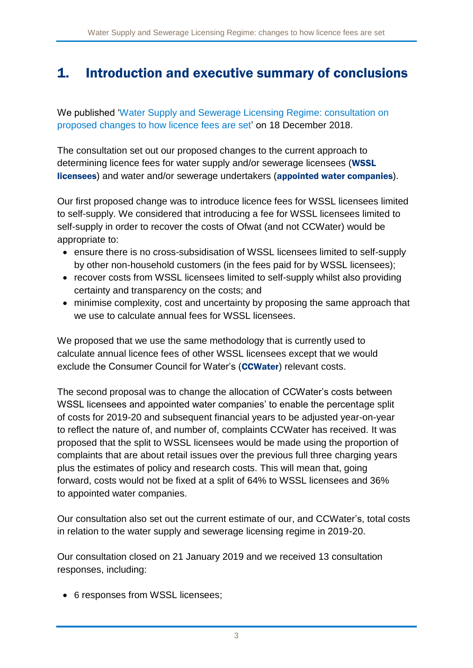# <span id="page-2-0"></span>1. Introduction and executive summary of conclusions

We published ['Water Supply and Sewerage Licensing Regime: consultation on](https://www.ofwat.gov.uk/wp-content/uploads/2018/12/Water-Supply-and-Sewerage-Licensing-Regime-Consultation.pdf)  [proposed changes to how licence fees are set'](https://www.ofwat.gov.uk/wp-content/uploads/2018/12/Water-Supply-and-Sewerage-Licensing-Regime-Consultation.pdf) on 18 December 2018.

The consultation set out our proposed changes to the current approach to determining licence fees for water supply and/or sewerage licensees (WSSL licensees) and water and/or sewerage undertakers (appointed water companies).

Our first proposed change was to introduce licence fees for WSSL licensees limited to self-supply. We considered that introducing a fee for WSSL licensees limited to self-supply in order to recover the costs of Ofwat (and not CCWater) would be appropriate to:

- ensure there is no cross-subsidisation of WSSL licensees limited to self-supply by other non-household customers (in the fees paid for by WSSL licensees);
- recover costs from WSSL licensees limited to self-supply whilst also providing certainty and transparency on the costs; and
- minimise complexity, cost and uncertainty by proposing the same approach that we use to calculate annual fees for WSSL licensees.

We proposed that we use the same methodology that is currently used to calculate annual licence fees of other WSSL licensees except that we would exclude the Consumer Council for Water's (CCWater) relevant costs.

The second proposal was to change the allocation of CCWater's costs between WSSL licensees and appointed water companies' to enable the percentage split of costs for 2019-20 and subsequent financial years to be adjusted year-on-year to reflect the nature of, and number of, complaints CCWater has received. It was proposed that the split to WSSL licensees would be made using the proportion of complaints that are about retail issues over the previous full three charging years plus the estimates of policy and research costs. This will mean that, going forward, costs would not be fixed at a split of 64% to WSSL licensees and 36% to appointed water companies.

Our consultation also set out the current estimate of our, and CCWater's, total costs in relation to the water supply and sewerage licensing regime in 2019-20.

Our consultation closed on 21 January 2019 and we received 13 consultation responses, including:

• 6 responses from WSSL licensees;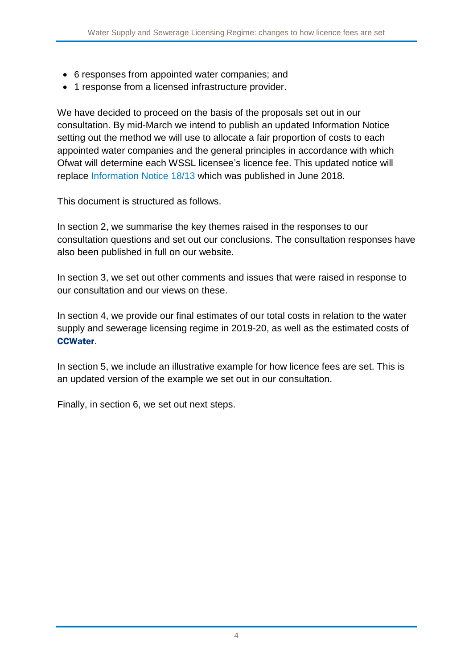- 6 responses from appointed water companies; and
- 1 response from a licensed infrastructure provider.

We have decided to proceed on the basis of the proposals set out in our consultation. By mid-March we intend to publish an updated Information Notice setting out the method we will use to allocate a fair proportion of costs to each appointed water companies and the general principles in accordance with which Ofwat will determine each WSSL licensee's licence fee. This updated notice will replace [Information Notice 18/13](https://www.ofwat.gov.uk/wp-content/uploads/2018/06/IN-1813-Licence-fees-for-water-companies-and-WSSL-licensees-final.pdf) which was published in June 2018.

This document is structured as follows.

In section [2,](#page-4-0) we summarise the key themes raised in the responses to our consultation questions and set out our conclusions. The consultation responses have also been published in full on our website.

In section 3, we set out other comments and issues that were raised in response to our consultation and our views on these.

In section 4, we provide our final estimates of our total costs in relation to the water supply and sewerage licensing regime in 2019-20, as well as the estimated costs of CCWater.

In section 5, we include an illustrative example for how licence fees are set. This is an updated version of the example we set out in our consultation.

Finally, in section 6, we set out next steps.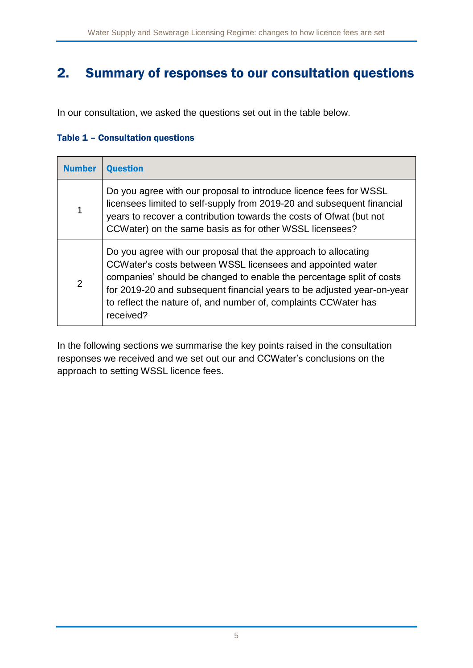## <span id="page-4-0"></span>2. Summary of responses to our consultation questions

In our consultation, we asked the questions set out in the table below.

#### Table 1 – Consultation questions

| <b>Number</b>  | <b>Question</b>                                                                                                                                                                                                                                                                                                                                                |
|----------------|----------------------------------------------------------------------------------------------------------------------------------------------------------------------------------------------------------------------------------------------------------------------------------------------------------------------------------------------------------------|
| 1              | Do you agree with our proposal to introduce licence fees for WSSL<br>licensees limited to self-supply from 2019-20 and subsequent financial<br>years to recover a contribution towards the costs of Ofwat (but not<br>CCWater) on the same basis as for other WSSL licensees?                                                                                  |
| $\overline{2}$ | Do you agree with our proposal that the approach to allocating<br>CCWater's costs between WSSL licensees and appointed water<br>companies' should be changed to enable the percentage split of costs<br>for 2019-20 and subsequent financial years to be adjusted year-on-year<br>to reflect the nature of, and number of, complaints CCWater has<br>received? |

In the following sections we summarise the key points raised in the consultation responses we received and we set out our and CCWater's conclusions on the approach to setting WSSL licence fees.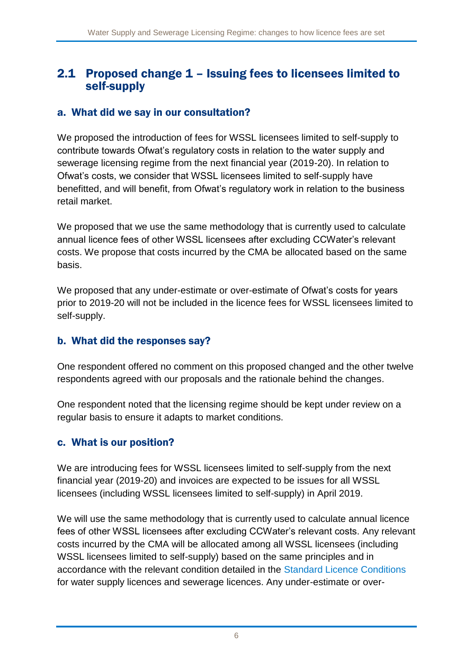## 2.1 Proposed change 1 – Issuing fees to licensees limited to self-supply

## a. What did we say in our consultation?

We proposed the introduction of fees for WSSL licensees limited to self-supply to contribute towards Ofwat's regulatory costs in relation to the water supply and sewerage licensing regime from the next financial year (2019-20). In relation to Ofwat's costs, we consider that WSSL licensees limited to self-supply have benefitted, and will benefit, from Ofwat's regulatory work in relation to the business retail market.

We proposed that we use the same methodology that is currently used to calculate annual licence fees of other WSSL licensees after excluding CCWater's relevant costs. We propose that costs incurred by the CMA be allocated based on the same basis.

We proposed that any under-estimate or over-estimate of Ofwat's costs for years prior to 2019-20 will not be included in the licence fees for WSSL licensees limited to self-supply.

### b. What did the responses say?

One respondent offered no comment on this proposed changed and the other twelve respondents agreed with our proposals and the rationale behind the changes.

One respondent noted that the licensing regime should be kept under review on a regular basis to ensure it adapts to market conditions.

## c. What is our position?

We are introducing fees for WSSL licensees limited to self-supply from the next financial year (2019-20) and invoices are expected to be issues for all WSSL licensees (including WSSL licensees limited to self-supply) in April 2019.

We will use the same methodology that is currently used to calculate annual licence fees of other WSSL licensees after excluding CCWater's relevant costs. Any relevant costs incurred by the CMA will be allocated among all WSSL licensees (including WSSL licensees limited to self-supply) based on the same principles and in accordance with the relevant condition detailed in the [Standard Licence Conditions](https://www.gov.uk/government/publications/water-supply-and-sewerage-licencing-regime-standard-licence-conditions) for water supply licences and sewerage licences. Any under-estimate or over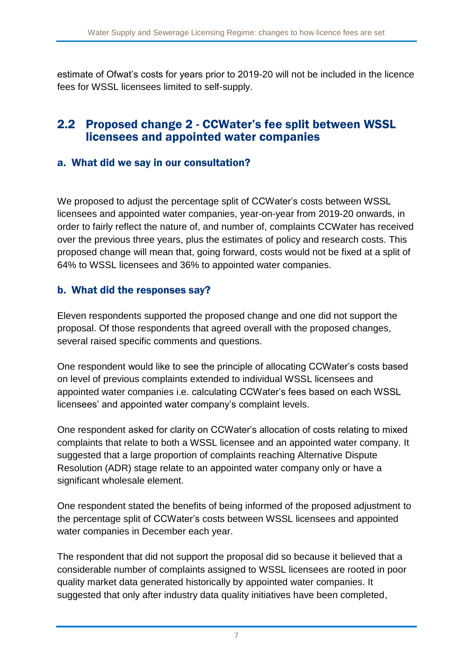estimate of Ofwat's costs for years prior to 2019-20 will not be included in the licence fees for WSSL licensees limited to self-supply.

## 2.2 Proposed change 2 - CCWater's fee split between WSSL licensees and appointed water companies

### a. What did we say in our consultation?

We proposed to adjust the percentage split of CCWater's costs between WSSL licensees and appointed water companies, year-on-year from 2019-20 onwards, in order to fairly reflect the nature of, and number of, complaints CCWater has received over the previous three years, plus the estimates of policy and research costs. This proposed change will mean that, going forward, costs would not be fixed at a split of 64% to WSSL licensees and 36% to appointed water companies.

#### b. What did the responses say?

Eleven respondents supported the proposed change and one did not support the proposal. Of those respondents that agreed overall with the proposed changes, several raised specific comments and questions.

One respondent would like to see the principle of allocating CCWater's costs based on level of previous complaints extended to individual WSSL licensees and appointed water companies i.e. calculating CCWater's fees based on each WSSL licensees' and appointed water company's complaint levels.

One respondent asked for clarity on CCWater's allocation of costs relating to mixed complaints that relate to both a WSSL licensee and an appointed water company. It suggested that a large proportion of complaints reaching Alternative Dispute Resolution (ADR) stage relate to an appointed water company only or have a significant wholesale element.

One respondent stated the benefits of being informed of the proposed adjustment to the percentage split of CCWater's costs between WSSL licensees and appointed water companies in December each year.

The respondent that did not support the proposal did so because it believed that a considerable number of complaints assigned to WSSL licensees are rooted in poor quality market data generated historically by appointed water companies. It suggested that only after industry data quality initiatives have been completed,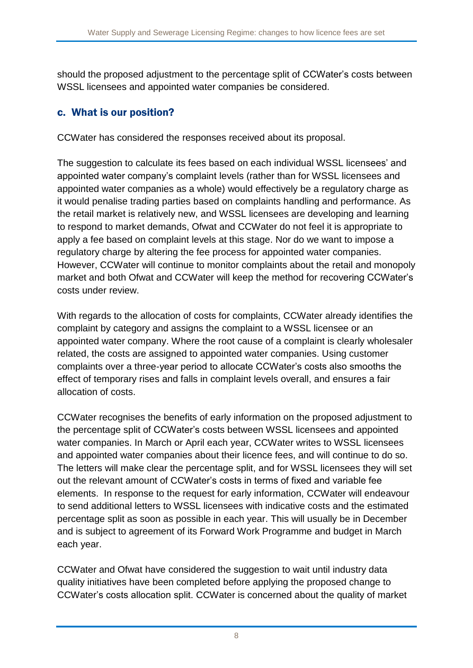should the proposed adjustment to the percentage split of CCWater's costs between WSSL licensees and appointed water companies be considered.

## c. What is our position?

CCWater has considered the responses received about its proposal.

The suggestion to calculate its fees based on each individual WSSL licensees' and appointed water company's complaint levels (rather than for WSSL licensees and appointed water companies as a whole) would effectively be a regulatory charge as it would penalise trading parties based on complaints handling and performance. As the retail market is relatively new, and WSSL licensees are developing and learning to respond to market demands, Ofwat and CCWater do not feel it is appropriate to apply a fee based on complaint levels at this stage. Nor do we want to impose a regulatory charge by altering the fee process for appointed water companies. However, CCWater will continue to monitor complaints about the retail and monopoly market and both Ofwat and CCWater will keep the method for recovering CCWater's costs under review.

With regards to the allocation of costs for complaints, CCWater already identifies the complaint by category and assigns the complaint to a WSSL licensee or an appointed water company. Where the root cause of a complaint is clearly wholesaler related, the costs are assigned to appointed water companies. Using customer complaints over a three-year period to allocate CCWater's costs also smooths the effect of temporary rises and falls in complaint levels overall, and ensures a fair allocation of costs.

CCWater recognises the benefits of early information on the proposed adjustment to the percentage split of CCWater's costs between WSSL licensees and appointed water companies. In March or April each year, CCWater writes to WSSL licensees and appointed water companies about their licence fees, and will continue to do so. The letters will make clear the percentage split, and for WSSL licensees they will set out the relevant amount of CCWater's costs in terms of fixed and variable fee elements. In response to the request for early information, CCWater will endeavour to send additional letters to WSSL licensees with indicative costs and the estimated percentage split as soon as possible in each year. This will usually be in December and is subject to agreement of its Forward Work Programme and budget in March each year.

CCWater and Ofwat have considered the suggestion to wait until industry data quality initiatives have been completed before applying the proposed change to CCWater's costs allocation split. CCWater is concerned about the quality of market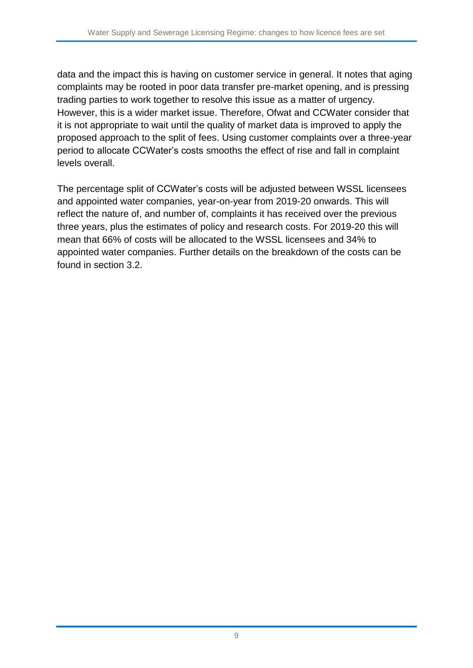data and the impact this is having on customer service in general. It notes that aging complaints may be rooted in poor data transfer pre-market opening, and is pressing trading parties to work together to resolve this issue as a matter of urgency. However, this is a wider market issue. Therefore, Ofwat and CCWater consider that it is not appropriate to wait until the quality of market data is improved to apply the proposed approach to the split of fees. Using customer complaints over a three-year period to allocate CCWater's costs smooths the effect of rise and fall in complaint levels overall.

The percentage split of CCWater's costs will be adjusted between WSSL licensees and appointed water companies, year-on-year from 2019-20 onwards. This will reflect the nature of, and number of, complaints it has received over the previous three years, plus the estimates of policy and research costs. For 2019-20 this will mean that 66% of costs will be allocated to the WSSL licensees and 34% to appointed water companies. Further details on the breakdown of the costs can be found in section 3.2.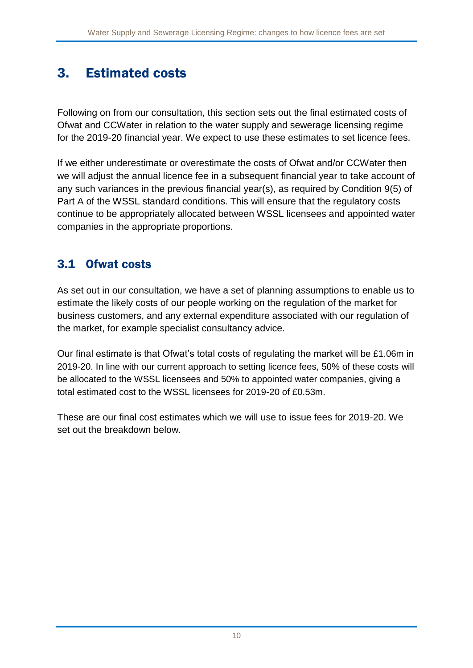# <span id="page-9-0"></span>3. Estimated costs

Following on from our consultation, this section sets out the final estimated costs of Ofwat and CCWater in relation to the water supply and sewerage licensing regime for the 2019-20 financial year. We expect to use these estimates to set licence fees.

If we either underestimate or overestimate the costs of Ofwat and/or CCWater then we will adjust the annual licence fee in a subsequent financial year to take account of any such variances in the previous financial year(s), as required by Condition 9(5) of Part A of the WSSL standard conditions. This will ensure that the regulatory costs continue to be appropriately allocated between WSSL licensees and appointed water companies in the appropriate proportions.

## 3.1 Ofwat costs

As set out in our consultation, we have a set of planning assumptions to enable us to estimate the likely costs of our people working on the regulation of the market for business customers, and any external expenditure associated with our regulation of the market, for example specialist consultancy advice.

Our final estimate is that Ofwat's total costs of regulating the market will be £1.06m in 2019-20. In line with our current approach to setting licence fees, 50% of these costs will be allocated to the WSSL licensees and 50% to appointed water companies, giving a total estimated cost to the WSSL licensees for 2019-20 of £0.53m.

These are our final cost estimates which we will use to issue fees for 2019-20. We set out the breakdown below.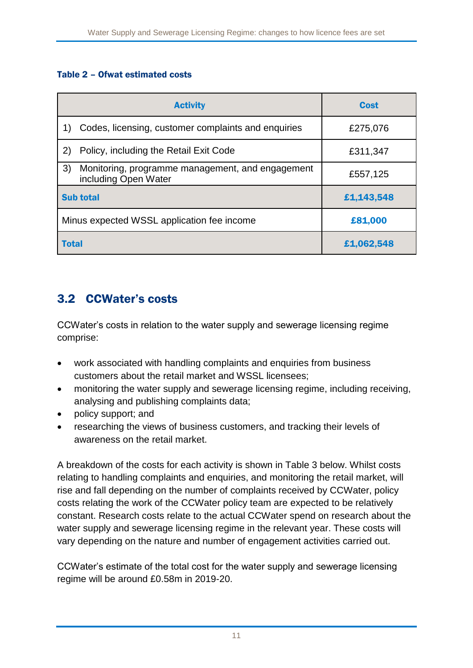#### Table 2 – Ofwat estimated costs

| <b>Activity</b>                                                                | Cost       |
|--------------------------------------------------------------------------------|------------|
| Codes, licensing, customer complaints and enquiries                            | £275,076   |
| Policy, including the Retail Exit Code<br>(2)                                  | £311,347   |
| 3)<br>Monitoring, programme management, and engagement<br>including Open Water | £557,125   |
| <b>Sub total</b>                                                               | £1,143,548 |
| Minus expected WSSL application fee income                                     | £81,000    |
| <b>Total</b>                                                                   | £1,062,548 |

## 3.2 CCWater's costs

CCWater's costs in relation to the water supply and sewerage licensing regime comprise:

- work associated with handling complaints and enquiries from business customers about the retail market and WSSL licensees;
- monitoring the water supply and sewerage licensing regime, including receiving, analysing and publishing complaints data;
- policy support; and
- researching the views of business customers, and tracking their levels of awareness on the retail market.

A breakdown of the costs for each activity is shown in Table 3 below. Whilst costs relating to handling complaints and enquiries, and monitoring the retail market, will rise and fall depending on the number of complaints received by CCWater, policy costs relating the work of the CCWater policy team are expected to be relatively constant. Research costs relate to the actual CCWater spend on research about the water supply and sewerage licensing regime in the relevant year. These costs will vary depending on the nature and number of engagement activities carried out.

CCWater's estimate of the total cost for the water supply and sewerage licensing regime will be around £0.58m in 2019-20.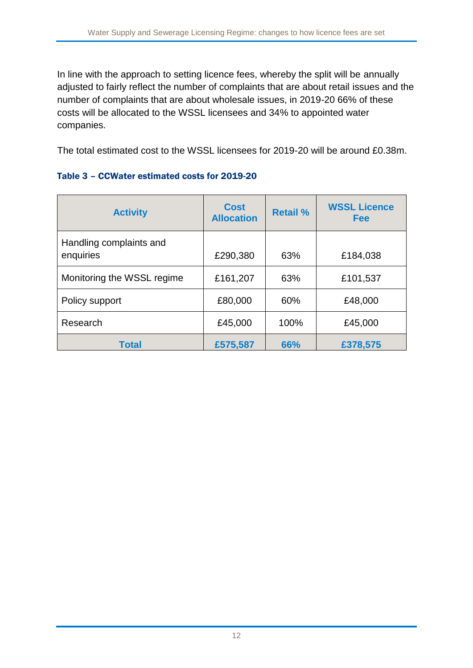In line with the approach to setting licence fees, whereby the split will be annually adjusted to fairly reflect the number of complaints that are about retail issues and the number of complaints that are about wholesale issues, in 2019-20 66% of these costs will be allocated to the WSSL licensees and 34% to appointed water companies.

The total estimated cost to the WSSL licensees for 2019-20 will be around £0.38m.

|  | Table 3 - CCWater estimated costs for 2019-20 |  |  |
|--|-----------------------------------------------|--|--|
|  |                                               |  |  |

| <b>Activity</b>                      | <b>Cost</b><br><b>Allocation</b> | <b>Retail %</b> | <b>WSSL Licence</b><br><b>Fee</b> |
|--------------------------------------|----------------------------------|-----------------|-----------------------------------|
| Handling complaints and<br>enquiries | £290,380                         | 63%             | £184,038                          |
| Monitoring the WSSL regime           | £161,207                         | 63%             | £101,537                          |
| Policy support                       | £80,000                          | 60%             | £48,000                           |
| Research                             | £45,000                          | 100%            | £45,000                           |
| <b>Total</b>                         | £575,587                         | 66%             | £378,575                          |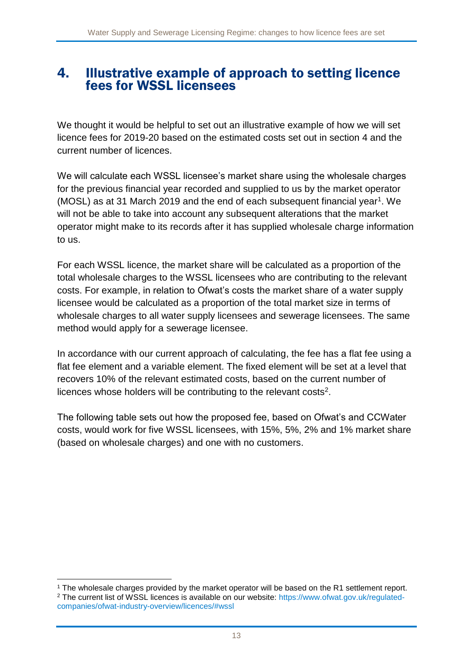## <span id="page-12-0"></span>4. Illustrative example of approach to setting licence fees for WSSL licensees

We thought it would be helpful to set out an illustrative example of how we will set licence fees for 2019-20 based on the estimated costs set out in section 4 and the current number of licences.

We will calculate each WSSL licensee's market share using the wholesale charges for the previous financial year recorded and supplied to us by the market operator (MOSL) as at 31 March 2019 and the end of each subsequent financial year<sup>1</sup>. We will not be able to take into account any subsequent alterations that the market operator might make to its records after it has supplied wholesale charge information to us.

For each WSSL licence, the market share will be calculated as a proportion of the total wholesale charges to the WSSL licensees who are contributing to the relevant costs. For example, in relation to Ofwat's costs the market share of a water supply licensee would be calculated as a proportion of the total market size in terms of wholesale charges to all water supply licensees and sewerage licensees. The same method would apply for a sewerage licensee.

In accordance with our current approach of calculating, the fee has a flat fee using a flat fee element and a variable element. The fixed element will be set at a level that recovers 10% of the relevant estimated costs, based on the current number of licences whose holders will be contributing to the relevant costs<sup>2</sup>.

The following table sets out how the proposed fee, based on Ofwat's and CCWater costs, would work for five WSSL licensees, with 15%, 5%, 2% and 1% market share (based on wholesale charges) and one with no customers.

<sup>1</sup> <sup>1</sup> The wholesale charges provided by the market operator will be based on the R1 settlement report. <sup>2</sup> The current list of WSSL licences is available on our website: [https://www.ofwat.gov.uk/regulated](https://www.ofwat.gov.uk/regulated-companies/ofwat-industry-overview/licences/#wssl)[companies/ofwat-industry-overview/licences/#wssl](https://www.ofwat.gov.uk/regulated-companies/ofwat-industry-overview/licences/#wssl)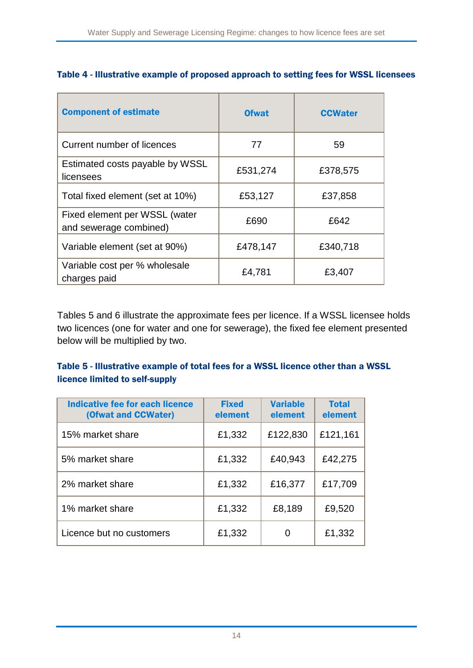| <b>Component of estimate</b>                            | <b>Ofwat</b> | <b>CCWater</b> |
|---------------------------------------------------------|--------------|----------------|
| Current number of licences                              | 77           | 59             |
| Estimated costs payable by WSSL<br>licensees            | £531,274     | £378,575       |
| Total fixed element (set at 10%)                        | £53,127      | £37,858        |
| Fixed element per WSSL (water<br>and sewerage combined) | £690         | £642           |
| Variable element (set at 90%)                           | £478,147     | £340,718       |
| Variable cost per % wholesale<br>charges paid           | £4,781       | £3,407         |

### Table 4 - Illustrative example of proposed approach to setting fees for WSSL licensees

Tables 5 and 6 illustrate the approximate fees per licence. If a WSSL licensee holds two licences (one for water and one for sewerage), the fixed fee element presented below will be multiplied by two.

### Table 5 - Illustrative example of total fees for a WSSL licence other than a WSSL licence limited to self-supply

| <b>Indicative fee for each licence</b><br>(Ofwat and CCWater) | <b>Fixed</b><br>element | <b>Variable</b><br>element | <b>Total</b><br>element |
|---------------------------------------------------------------|-------------------------|----------------------------|-------------------------|
| 15% market share                                              | £1,332                  | £122,830                   | £121,161                |
| 5% market share                                               | £1,332                  | £40,943                    | £42,275                 |
| 2% market share                                               | £1,332                  | £16,377                    | £17,709                 |
| 1% market share                                               | £1,332                  | £8,189                     | £9,520                  |
| Licence but no customers                                      | £1,332                  |                            | £1,332                  |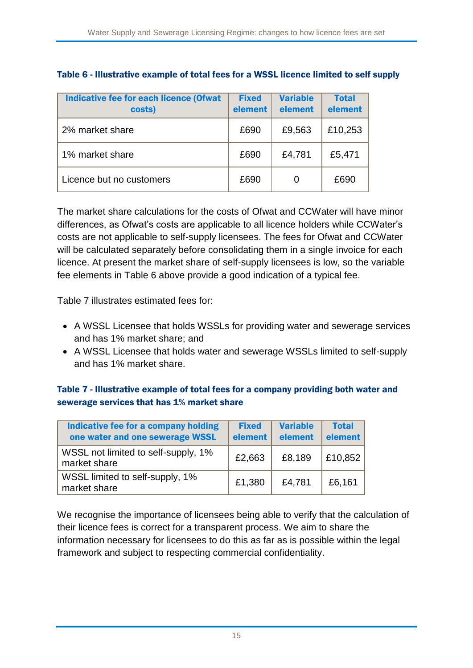| Indicative fee for each licence (Ofwat<br>costs) | <b>Fixed</b><br>element | <b>Variable</b><br>element | <b>Total</b><br>element |
|--------------------------------------------------|-------------------------|----------------------------|-------------------------|
| 2% market share                                  | £690                    | £9,563                     | £10,253                 |
| 1% market share                                  | £690                    | £4,781                     | £5,471                  |
| Licence but no customers                         | £690                    |                            | £690                    |

#### Table 6 - Illustrative example of total fees for a WSSL licence limited to self supply

The market share calculations for the costs of Ofwat and CCWater will have minor differences, as Ofwat's costs are applicable to all licence holders while CCWater's costs are not applicable to self-supply licensees. The fees for Ofwat and CCWater will be calculated separately before consolidating them in a single invoice for each licence. At present the market share of self-supply licensees is low, so the variable fee elements in Table 6 above provide a good indication of a typical fee.

Table 7 illustrates estimated fees for:

- A WSSL Licensee that holds WSSLs for providing water and sewerage services and has 1% market share; and
- A WSSL Licensee that holds water and sewerage WSSLs limited to self-supply and has 1% market share.

#### Table 7 - Illustrative example of total fees for a company providing both water and sewerage services that has 1% market share

| Indicative fee for a company holding<br>one water and one sewerage WSSL | <b>Fixed</b><br>element | <b>Variable</b><br>element | <b>Total</b><br>element |
|-------------------------------------------------------------------------|-------------------------|----------------------------|-------------------------|
| WSSL not limited to self-supply, 1%<br>market share                     | £2,663                  | £8,189                     | £10,852                 |
| WSSL limited to self-supply, 1%<br>market share                         | £1,380                  | £4,781                     | £6,161                  |

We recognise the importance of licensees being able to verify that the calculation of their licence fees is correct for a transparent process. We aim to share the information necessary for licensees to do this as far as is possible within the legal framework and subject to respecting commercial confidentiality.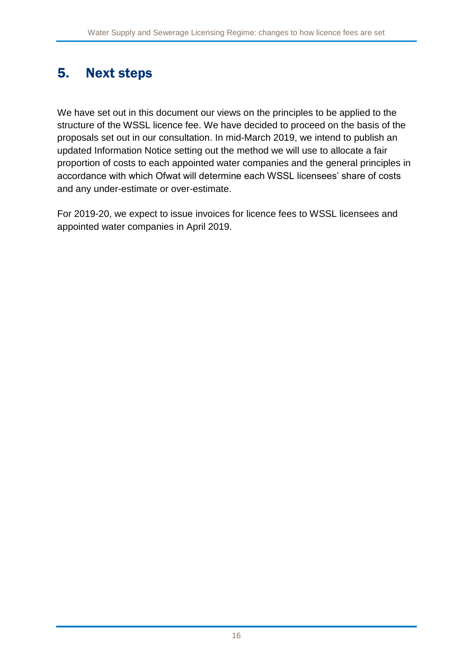# <span id="page-15-0"></span>5. Next steps

We have set out in this document our views on the principles to be applied to the structure of the WSSL licence fee. We have decided to proceed on the basis of the proposals set out in our consultation. In mid-March 2019, we intend to publish an updated Information Notice setting out the method we will use to allocate a fair proportion of costs to each appointed water companies and the general principles in accordance with which Ofwat will determine each WSSL licensees' share of costs and any under-estimate or over-estimate.

For 2019-20, we expect to issue invoices for licence fees to WSSL licensees and appointed water companies in April 2019.